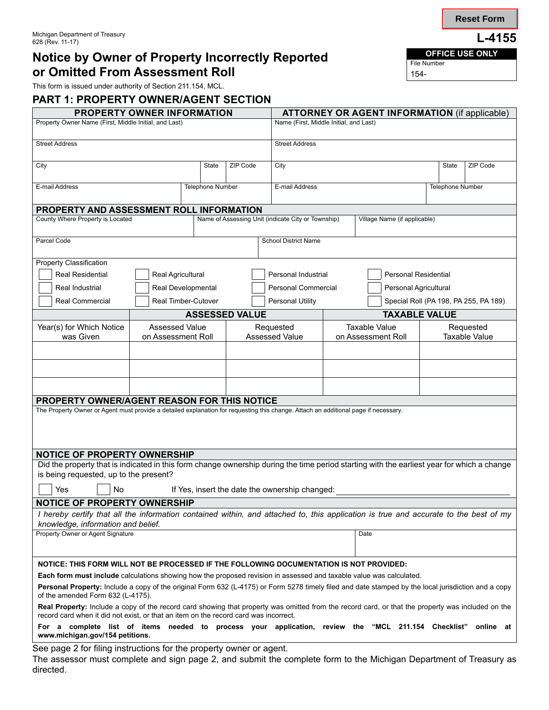## **Notice by Owner of Property Incorrectly Reported <b>CHE** CHE Number **or Omitted From Assessment Roll**

This form is issued under authority of Section 211.154, MCL.

**PART 1: PROPERTY OWNER/AGENT SECTION**

| PROPERTY OWNER INFORMATION                                                                                                                                                                                                                |                       |                   |  |                              | <b>ATTORNEY OR AGENT INFORMATION (if applicable)</b> |                       |                      |                      |                                       |  |
|-------------------------------------------------------------------------------------------------------------------------------------------------------------------------------------------------------------------------------------------|-----------------------|-------------------|--|------------------------------|------------------------------------------------------|-----------------------|----------------------|----------------------|---------------------------------------|--|
| Property Owner Name (First, Middle Initial, and Last)                                                                                                                                                                                     |                       |                   |  |                              | Name (First, Middle Initial, and Last)               |                       |                      |                      |                                       |  |
| <b>Street Address</b>                                                                                                                                                                                                                     |                       |                   |  | <b>Street Address</b>        |                                                      |                       |                      |                      |                                       |  |
| City                                                                                                                                                                                                                                      |                       | State<br>ZIP Code |  |                              | City                                                 |                       |                      | State                | ZIP Code                              |  |
| E-mail Address                                                                                                                                                                                                                            |                       | Telephone Number  |  | E-mail Address               |                                                      |                       |                      | Telephone Number     |                                       |  |
| PROPERTY AND ASSESSMENT ROLL INFORMATION                                                                                                                                                                                                  |                       |                   |  |                              |                                                      |                       |                      |                      |                                       |  |
| County Where Property is Located<br>Name of Assessing Unit (indicate City or Township)                                                                                                                                                    |                       |                   |  | Village Name (if applicable) |                                                      |                       |                      |                      |                                       |  |
| Parcel Code                                                                                                                                                                                                                               |                       |                   |  |                              | <b>School District Name</b>                          |                       |                      |                      |                                       |  |
| <b>Property Classification</b>                                                                                                                                                                                                            |                       |                   |  |                              |                                                      |                       |                      |                      |                                       |  |
| <b>Real Residential</b>                                                                                                                                                                                                                   | Real Agricultural     |                   |  |                              |                                                      | Personal Industrial   | Personal Residential |                      |                                       |  |
| Real Industrial                                                                                                                                                                                                                           | Real Developmental    |                   |  |                              | Personal Commercial                                  | Personal Agricultural |                      |                      |                                       |  |
| <b>Real Commercial</b>                                                                                                                                                                                                                    | Real Timber-Cutover   |                   |  |                              | Personal Utility                                     |                       |                      |                      | Special Roll (PA 198, PA 255, PA 189) |  |
|                                                                                                                                                                                                                                           | <b>ASSESSED VALUE</b> |                   |  |                              |                                                      |                       | <b>TAXABLE VALUE</b> |                      |                                       |  |
| Year(s) for Which Notice                                                                                                                                                                                                                  | <b>Assessed Value</b> |                   |  |                              | Requested                                            | <b>Taxable Value</b>  |                      | Requested            |                                       |  |
| was Given                                                                                                                                                                                                                                 | on Assessment Roll    |                   |  |                              | <b>Assessed Value</b>                                | on Assessment Roll    |                      | <b>Taxable Value</b> |                                       |  |
|                                                                                                                                                                                                                                           |                       |                   |  |                              |                                                      |                       |                      |                      |                                       |  |
|                                                                                                                                                                                                                                           |                       |                   |  |                              |                                                      |                       |                      |                      |                                       |  |
|                                                                                                                                                                                                                                           |                       |                   |  |                              |                                                      |                       |                      |                      |                                       |  |
| <b>PROPERTY OWNER/AGENT REASON FOR THIS NOTICE</b>                                                                                                                                                                                        |                       |                   |  |                              |                                                      |                       |                      |                      |                                       |  |
| The Property Owner or Agent must provide a detailed explanation for requesting this change. Attach an additional page if necessary.                                                                                                       |                       |                   |  |                              |                                                      |                       |                      |                      |                                       |  |
|                                                                                                                                                                                                                                           |                       |                   |  |                              |                                                      |                       |                      |                      |                                       |  |
|                                                                                                                                                                                                                                           |                       |                   |  |                              |                                                      |                       |                      |                      |                                       |  |
| <b>NOTICE OF PROPERTY OWNERSHIP</b>                                                                                                                                                                                                       |                       |                   |  |                              |                                                      |                       |                      |                      |                                       |  |
| Did the property that is indicated in this form change ownership during the time period starting with the earliest year for which a change                                                                                                |                       |                   |  |                              |                                                      |                       |                      |                      |                                       |  |
| is being requested, up to the present?                                                                                                                                                                                                    |                       |                   |  |                              |                                                      |                       |                      |                      |                                       |  |
| No<br>If Yes, insert the date the ownership changed:<br>Yes                                                                                                                                                                               |                       |                   |  |                              |                                                      |                       |                      |                      |                                       |  |
| NOTICE OF PROPERTY OWNERSHIP                                                                                                                                                                                                              |                       |                   |  |                              |                                                      |                       |                      |                      |                                       |  |
| I hereby certify that all the information contained within, and attached to, this application is true and accurate to the best of my                                                                                                      |                       |                   |  |                              |                                                      |                       |                      |                      |                                       |  |
| knowledge, information and belief.                                                                                                                                                                                                        |                       |                   |  |                              |                                                      |                       |                      |                      |                                       |  |
| Property Owner or Agent Signature                                                                                                                                                                                                         |                       |                   |  |                              | Date                                                 |                       |                      |                      |                                       |  |
|                                                                                                                                                                                                                                           |                       |                   |  |                              |                                                      |                       |                      |                      |                                       |  |
| NOTICE: THIS FORM WILL NOT BE PROCESSED IF THE FOLLOWING DOCUMENTATION IS NOT PROVIDED:                                                                                                                                                   |                       |                   |  |                              |                                                      |                       |                      |                      |                                       |  |
| Each form must include calculations showing how the proposed revision in assessed and taxable value was calculated.                                                                                                                       |                       |                   |  |                              |                                                      |                       |                      |                      |                                       |  |
| Personal Property: Include a copy of the original Form 632 (L-4175) or Form 5278 timely filed and date stamped by the local jurisdiction and a copy<br>of the amended Form 632 (L-4175).                                                  |                       |                   |  |                              |                                                      |                       |                      |                      |                                       |  |
| Real Property: Include a copy of the record card showing that property was omitted from the record card, or that the property was included on the<br>record card when it did not exist, or that an item on the record card was incorrect. |                       |                   |  |                              |                                                      |                       |                      |                      |                                       |  |
| For a complete list of items needed to process your application, review the "MCL 211.154 Checklist"<br>www.michigan.gov/154 petitions.                                                                                                    |                       |                   |  |                              |                                                      |                       |                      |                      | online at                             |  |
| See page 2 for filing instructions for the property owner or agent.                                                                                                                                                                       |                       |                   |  |                              |                                                      |                       |                      |                      |                                       |  |

The assessor must complete and sign page 2, and submit the complete form to the Michigan Department of Treasury as directed.

**Reset Form**

File Number 154